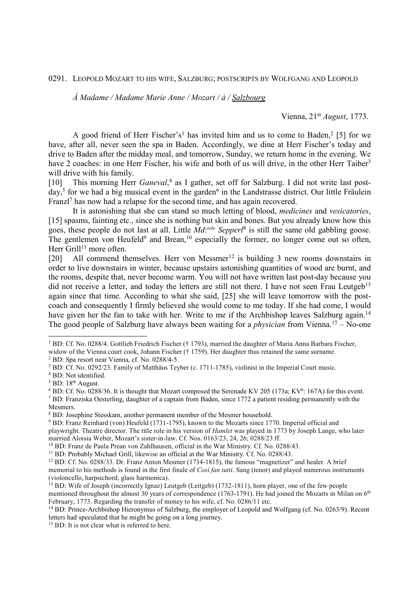0291. LEOPOLD MOZART TO HIS WIFE, SALZBURG; POSTSCRIPTS BY WOLFGANG AND LEOPOLD

*À Madame / Madame Marie Anne / Mozart / à / Salzbourg* 

Vienna, 21st *August*, 1773.

A good friend of Herr Fischer's<sup>1</sup> has invited him and us to come to Baden,<sup>2</sup> [5] for we have, after all, never seen the spa in Baden. Accordingly, we dine at Herr Fischer's today and drive to Baden after the midday meal, and tomorrow, Sunday, we return home in the evening. We have 2 coaches: in one Herr Fischer, his wife and both of us will drive, in the other Herr Taiber<sup>3</sup> will drive with his family.

[10] This morning Herr *Ganeval*,<sup>4</sup> as I gather, set off for Salzburg. I did not write last postday,<sup>5</sup> for we had a big musical event in the garden<sup>6</sup> in the Landstrasse district. Our little Fräulein Franzl<sup>7</sup> has now had a relapse for the second time, and has again recovered.

 It is astonishing that she can stand so much letting of blood, *medicines* and *vesicatories*, [15] spasms, fainting etc., since she is nothing but skin and bones. But you already know how this goes, these people do not last at all. Little *Md*: *ssle Sepperl*<sup>8</sup> is still the same old gabbling goose. The gentlemen von Heufeld<sup>9</sup> and Brean,<sup>10</sup> especially the former, no longer come out so often, Herr Grill<sup>11</sup> more often.

[20] All commend themselves. Herr von Messmer<sup>12</sup> is building 3 new rooms downstairs in order to live downstairs in winter, because upstairs astonishing quantities of wood are burnt, and the rooms, despite that, never become warm. You will not have written last post-day because you did not receive a letter, and today the letters are still not there. I have not seen Frau Leutgeb<sup>13</sup> again since that time. According to what she said, [25] she will leave tomorrow with the postcoach and consequently I firmly believed she would come to me today. If she had come, I would have given her the fan to take with her. Write to me if the Archbishop leaves Salzburg again.<sup>14</sup> The good people of Salzburg have always been waiting for a *physician* from Vienna.<sup>15</sup> – No-one

2 BD: Spa resort near Vienna, cf. No. 0288/4-5.

<sup>1</sup> BD: Cf. No. 0288/4. Gottlieb Friedrich Fischer († 1793), married the daughter of Maria Anna Barbara Fischer, widow of the Vienna court cook, Johann Fischer († 1759). Her daughter thus retained the same surname.

<sup>&</sup>lt;sup>3</sup> BD: Cf. No. 0292/23. Family of Matthäus Teyber (c. 1711-1785), violinist in the Imperial Court music.

<sup>4</sup> BD: Not identified.

 $<sup>5</sup>$  BD:  $18<sup>th</sup>$  August.</sup>

 $6$  BD: Cf. No. 0288/36. It is thought that Mozart composed the Serenade KV 205 (173a; KV $6$ : 167A) for this event.

<sup>&</sup>lt;sup>7</sup> BD: Franziska Oesterling, daughter of a captain from Baden, since 1772 a patient residing permanently with the Mesmers.

<sup>&</sup>lt;sup>8</sup> BD: Josephine Stesskam, another permanent member of the Mesmer household.

<sup>9</sup> BD: Franz Reinhard (von) Heufeld (1731-1795), known to the Mozarts since 1770. Imperial official and playwright. Theatre director. The title role in his version of *Hamlet* was played in 1773 by Joseph Lange, who later married Aloisia Weber, Mozart's sister-in-law. Cf. Nos. 0163/23, 24, 26; 0288/23 ff.

<sup>&</sup>lt;sup>10</sup> BD: Franz de Paula Prean von Zahlhausen, official in the War Ministry. Cf. No. 0288/43.

<sup>&</sup>lt;sup>11</sup> BD: Probably Michael Grill, likewise an official at the War Ministry. Cf. No. 0288/43.

<sup>12</sup> BD: Cf. No. 0288/33. Dr. Franz Anton Mesmer (1734-1815), the famous "magnetizer" and healer. A brief memorial to his methods is found in the first finale of *Così fan tutti*. Sang (tenor) and played numerous instruments (violoncello, harpsichord, glass harmonica).

<sup>&</sup>lt;sup>13</sup> BD: Wife of Joseph (incorrectly Ignaz) Leutgeb (Leitgeb) (1732-1811), horn player, one of the few people mentioned throughout the almost 30 years of correspondence  $(1763-1791)$ . He had joined the Mozarts in Milan on 6<sup>th</sup> February, 1773. Regarding the transfer of money to his wife, cf. No. 0286/11 etc.

<sup>14</sup> BD: Prince-Archbishop Hieronymus of Salzburg, the employer of Leopold and Wolfgang (cf. No. 0263/9). Recent letters had speculated that he might be going on a long journey.

<sup>&</sup>lt;sup>15</sup> BD: It is not clear what is referred to here.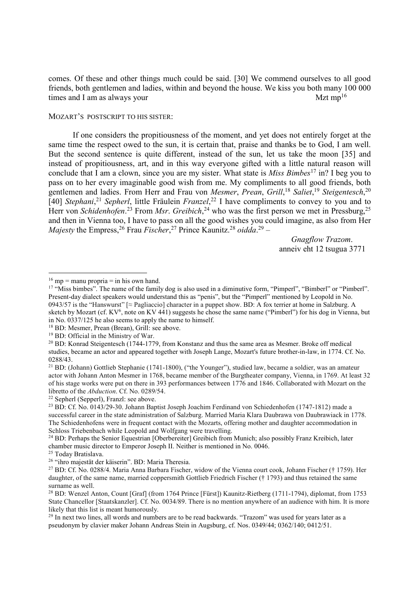comes. Of these and other things much could be said. [30] We commend ourselves to all good friends, both gentlemen and ladies, within and beyond the house. We kiss you both many 100 000 times and I am as always your  $Mzt \, mp^{16}$ 

## MOZART'S POSTSCRIPT TO HIS SISTER:

If one considers the propitiousness of the moment, and yet does not entirely forget at the same time the respect owed to the sun, it is certain that, praise and thanks be to God, I am well. But the second sentence is quite different, instead of the sun, let us take the moon [35] and instead of propitiousness, art, and in this way everyone gifted with a little natural reason will conclude that I am a clown, since you are my sister. What state is *Miss Bimbes*<sup>17</sup> in? I beg you to pass on to her every imaginable good wish from me. My compliments to all good friends, both gentlemen and ladies. From Herr and Frau von *Mesmer*, *Prean*, *Grill*, <sup>18</sup> *Saliet*, <sup>19</sup> *Steigentesch*, 20 [40] *Stephani*,<sup>21</sup> *Sepherl*, little Fräulein *Franzel*,<sup>22</sup> I have compliments to convey to you and to Herr von *Schidenhofen*.<sup>23</sup> From *Msr. Greibich*,<sup>24</sup> who was the first person we met in Pressburg,<sup>25</sup> and then in Vienna too, I have to pass on all the good wishes you could imagine, as also from Her *Majesty* the Empress,<sup>26</sup> Frau *Fischer*,<sup>27</sup> Prince Kaunitz.<sup>28</sup> *oidda*.<sup>29</sup> –

> *Gnagflow Trazom*. anneiv eht 12 tsugua 3771

-

<sup>22</sup> Sepherl (Sepperl), Franzl: see above.

<sup>25</sup> Today Bratislava.

 $16$  mp = manu propria = in his own hand.

<sup>&</sup>lt;sup>17</sup> "Miss bimbes". The name of the family dog is also used in a diminutive form, "Pimperl", "Bimberl" or "Pimberl". Present-day dialect speakers would understand this as "penis", but the "Pimperl" mentioned by Leopold in No. 0943/57 is the "Hanswurst" [≈ Pagliaccio] character in a puppet show. BD: A fox terrier at home in Salzburg. A sketch by Mozart (cf. KV<sup>6</sup>, note on KV 441) suggests he chose the same name ("Pimberl") for his dog in Vienna, but in No. 0337/125 he also seems to apply the name to himself.

<sup>&</sup>lt;sup>18</sup> BD: Mesmer, Prean (Brean), Grill: see above.

<sup>&</sup>lt;sup>19</sup> BD: Official in the Ministry of War.

<sup>20</sup> BD: Konrad Steigentesch (1744-1779, from Konstanz and thus the same area as Mesmer. Broke off medical studies, became an actor and appeared together with Joseph Lange, Mozart's future brother-in-law, in 1774. Cf. No. 0288/43.

<sup>&</sup>lt;sup>21</sup> BD: (Johann) Gottlieb Stephanie (1741-1800), ("the Younger"), studied law, became a soldier, was an amateur actor with Johann Anton Mesmer in 1768, became member of the Burgtheater company, Vienna, in 1769. At least 32 of his stage works were put on there in 393 performances between 1776 and 1846. Collaborated with Mozart on the libretto of the *Abduction*. Cf. No. 0289/54.

<sup>23</sup> BD: Cf. No. 0143/29-30. Johann Baptist Joseph Joachim Ferdinand von Schiedenhofen (1747-1812) made a successful career in the state administration of Salzburg. Married Maria Klara Daubrawa von Daubrawiack in 1778. The Schiedenhofens were in frequent contact with the Mozarts, offering mother and daughter accommodation in Schloss Triebenbach while Leopold and Wolfgang were travelling.

<sup>&</sup>lt;sup>24</sup> BD: Perhaps the Senior Equestrian [Oberbereiter] Greibich from Munich; also possibly Franz Kreibich, later chamber music director to Emperor Joseph II. Neither is mentioned in No. 0046.

<sup>26</sup> "ihro majestät der käiserin". BD: Maria Theresia.

<sup>27</sup> BD: Cf. No. 0288/4. Maria Anna Barbara Fischer, widow of the Vienna court cook, Johann Fischer († 1759). Her daughter, of the same name, married coppersmith Gottlieb Friedrich Fischer († 1793) and thus retained the same surname as well.

<sup>&</sup>lt;sup>28</sup> BD: Wenzel Anton, Count [Graf] (from 1764 Prince [Fürst]) Kaunitz-Rietberg (1711-1794), diplomat, from 1753 State Chancellor [Staatskanzler]. Cf. No. 0034/89. There is no mention anywhere of an audience with him. It is more likely that this list is meant humorously.

<sup>&</sup>lt;sup>29</sup> In next two lines, all words and numbers are to be read backwards. "Trazom" was used for years later as a pseudonym by clavier maker Johann Andreas Stein in Augsburg, cf. Nos. 0349/44; 0362/140; 0412/51.